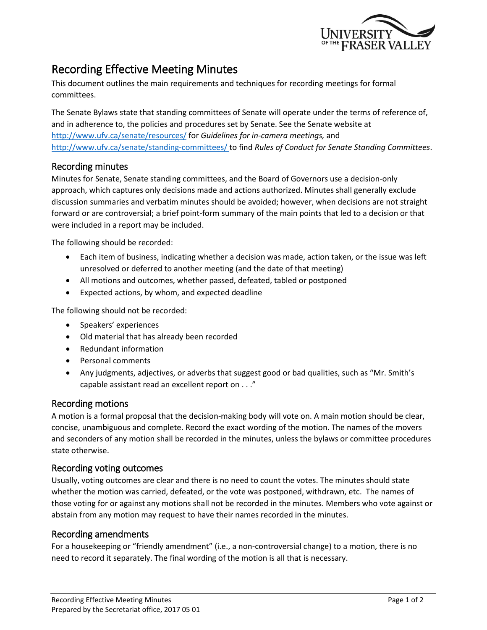

# Recording Effective Meeting Minutes

This document outlines the main requirements and techniques for recording meetings for formal committees.

The Senate Bylaws state that standing committees of Senate will operate under the terms of reference of, and in adherence to, the policies and procedures set by Senate. See the Senate website at <http://www.ufv.ca/senate/resources/> for *Guidelines for in-camera meetings,* and <http://www.ufv.ca/senate/standing-committees/> to find *Rules of Conduct for Senate Standing Committees*.

## Recording minutes

Minutes for Senate, Senate standing committees, and the Board of Governors use a decision-only approach, which captures only decisions made and actions authorized. Minutes shall generally exclude discussion summaries and verbatim minutes should be avoided; however, when decisions are not straight forward or are controversial; a brief point-form summary of the main points that led to a decision or that were included in a report may be included.

The following should be recorded:

- Each item of business, indicating whether a decision was made, action taken, or the issue was left unresolved or deferred to another meeting (and the date of that meeting)
- All motions and outcomes, whether passed, defeated, tabled or postponed
- Expected actions, by whom, and expected deadline

The following should not be recorded:

- Speakers' experiences
- Old material that has already been recorded
- Redundant information
- Personal comments
- Any judgments, adjectives, or adverbs that suggest good or bad qualities, such as "Mr. Smith's capable assistant read an excellent report on . . ."

## Recording motions

A motion is a formal proposal that the decision-making body will vote on. A main motion should be clear, concise, unambiguous and complete. Record the exact wording of the motion. The names of the movers and seconders of any motion shall be recorded in the minutes, unless the bylaws or committee procedures state otherwise.

## Recording voting outcomes

Usually, voting outcomes are clear and there is no need to count the votes. The minutes should state whether the motion was carried, defeated, or the vote was postponed, withdrawn, etc. The names of those voting for or against any motions shall not be recorded in the minutes. Members who vote against or abstain from any motion may request to have their names recorded in the minutes.

## Recording amendments

For a housekeeping or "friendly amendment" (i.e., a non-controversial change) to a motion, there is no need to record it separately. The final wording of the motion is all that is necessary.